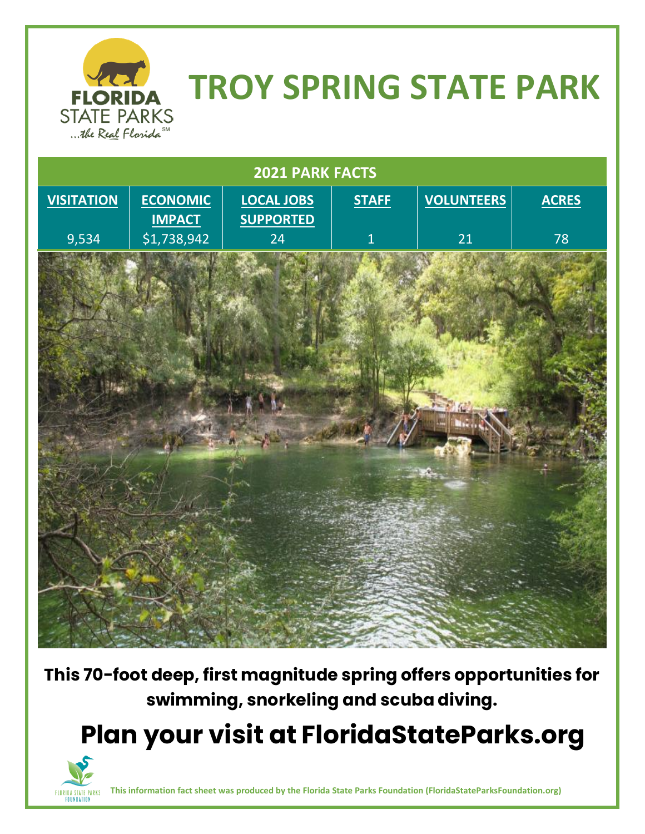

## **TROY SPRING STATE PARK**



**This 70-foot deep, first magnitude spring offers opportunities for swimming, snorkeling and scuba diving.**

 **Plan your visit at FloridaStateParks.org**



**This information fact sheet was produced by the Florida State Parks Foundation (FloridaStateParksFoundation.org)**